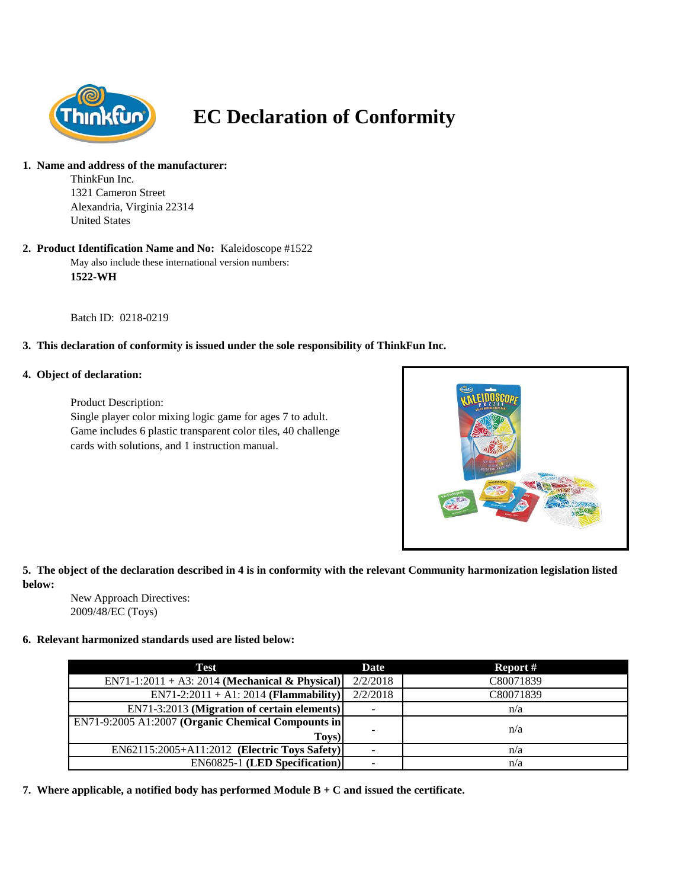

# **EC Declaration of Conformity**

#### **1. Name and address of the manufacturer:**

ThinkFun Inc. 1321 Cameron Street Alexandria, Virginia 22314 United States

#### May also include these international version numbers: **1522-WH 2. Product Identification Name and No:** Kaleidoscope #1522

Batch ID: 0218-0219

# **3. This declaration of conformity is issued under the sole responsibility of ThinkFun Inc.**

## **4. Object of declaration:**

Product Description: Single player color mixing logic game for ages 7 to adult. Game includes 6 plastic transparent color tiles, 40 challenge cards with solutions, and 1 instruction manual.



# **5. The object of the declaration described in 4 is in conformity with the relevant Community harmonization legislation listed below:**

New Approach Directives: 2009/48/EC (Toys)

## **6. Relevant harmonized standards used are listed below:**

| Test                                               | Date     | Report #  |
|----------------------------------------------------|----------|-----------|
| EN71-1:2011 + A3: 2014 (Mechanical & Physical)     | 2/2/2018 | C80071839 |
| $EN71-2:2011 + A1:2014$ (Flammability)             | 2/2/2018 | C80071839 |
| EN71-3:2013 (Migration of certain elements)        | -        | n/a       |
| EN71-9:2005 A1:2007 (Organic Chemical Compounts in |          |           |
| Toys)                                              |          | n/a       |
| $EN62115:2005+A11:2012$ (Electric Toys Safety)     |          | n/a       |
| <b>EN60825-1 (LED Specification)</b>               |          | n/a       |

**7. Where applicable, a notified body has performed Module B + C and issued the certificate.**